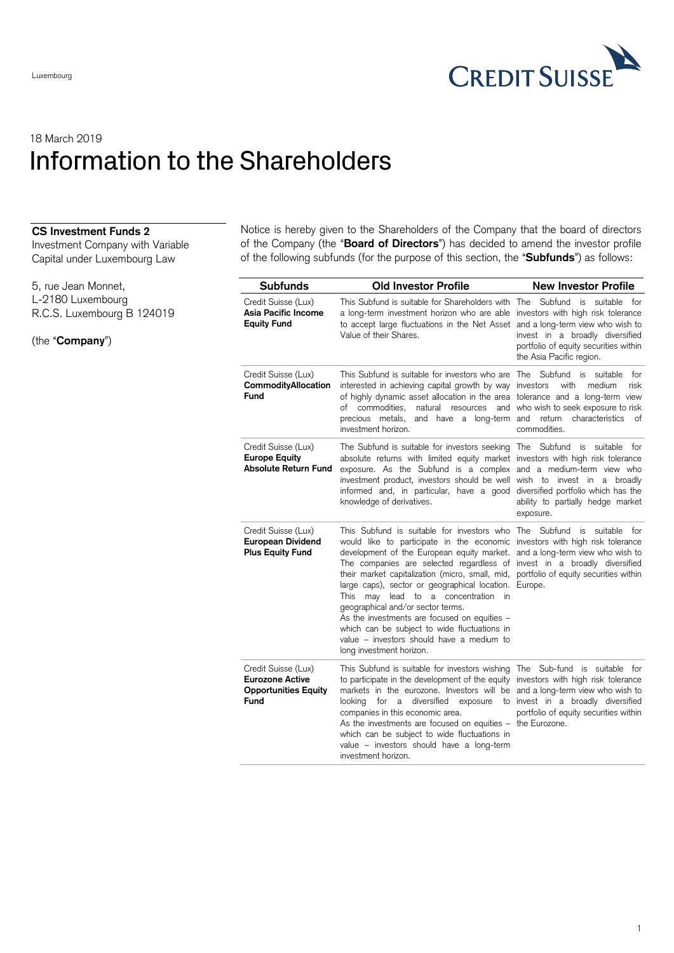

## 18 March 2019 Information to the Shareholders

## **CS Investment Funds 2**

Investment Company with Variable Capital under Luxembourg Law

5, rue Jean Monnet, L-2180 Luxembourg R.C.S. Luxembourg B 124019

(the "**Company**")

Notice is hereby given to the Shareholders of the Company that the board of directors of the Company (the "**Board of Directors**") has decided to amend the investor profile of the following subfunds (for the purpose of this section, the "**Subfunds**") as follows:

| <b>Subfunds</b>                                                                      | <b>Old Investor Profile</b>                                                                                                                                                                                                                                                                                                                                                                                                                                                                                                                                                                                                                                                                                                 | <b>New Investor Profile</b>                                                                                                                                              |
|--------------------------------------------------------------------------------------|-----------------------------------------------------------------------------------------------------------------------------------------------------------------------------------------------------------------------------------------------------------------------------------------------------------------------------------------------------------------------------------------------------------------------------------------------------------------------------------------------------------------------------------------------------------------------------------------------------------------------------------------------------------------------------------------------------------------------------|--------------------------------------------------------------------------------------------------------------------------------------------------------------------------|
| Credit Suisse (Lux)<br>Asia Pacific Income<br><b>Equity Fund</b>                     | This Subfund is suitable for Shareholders with The Subfund is suitable for<br>a long-term investment horizon who are able investors with high risk tolerance<br>to accept large fluctuations in the Net Asset and a long-term view who wish to<br>Value of their Shares.                                                                                                                                                                                                                                                                                                                                                                                                                                                    | invest in a broadly diversified<br>portfolio of equity securities within<br>the Asia Pacific region.                                                                     |
| Credit Suisse (Lux)<br><b>CommodityAllocation</b><br>Fund                            | This Subfund is suitable for investors who are The<br>interested in achieving capital growth by way investors<br>of highly dynamic asset allocation in the area tolerance and a long-term view<br>of commodities.<br>precious metals,<br>and have a long-term and<br>investment horizon.                                                                                                                                                                                                                                                                                                                                                                                                                                    | Subfund<br>suitable<br>for<br>is<br>with<br>medium<br>risk<br>natural resources and who wish to seek exposure to risk<br>return<br>characteristics<br>оf<br>commodities. |
| Credit Suisse (Lux)<br><b>Europe Equity</b><br><b>Absolute Return Fund</b>           | The Subfund is suitable for investors seeking The Subfund is suitable for<br>absolute returns with limited equity market investors with high risk tolerance<br>exposure. As the Subfund is a complex and a medium-term view who<br>investment product, investors should be well wish to invest in a broadly<br>informed and, in particular, have a good diversified portfolio which has the<br>knowledge of derivatives.                                                                                                                                                                                                                                                                                                    | ability to partially hedge market<br>exposure.                                                                                                                           |
| Credit Suisse (Lux)<br><b>European Dividend</b><br><b>Plus Equity Fund</b>           | This Subfund is suitable for investors who The Subfund is suitable for<br>would like to participate in the economic investors with high risk tolerance<br>development of the European equity market. and a long-term view who wish to<br>The companies are selected regardless of invest in a broadly diversified<br>their market capitalization (micro, small, mid, portfolio of equity securities within<br>large caps), sector or geographical location. Europe.<br>lead to a concentration in<br>This may<br>geographical and/or sector terms.<br>As the investments are focused on equities -<br>which can be subject to wide fluctuations in<br>value – investors should have a medium to<br>long investment horizon. |                                                                                                                                                                          |
| Credit Suisse (Lux)<br><b>Eurozone Active</b><br><b>Opportunities Equity</b><br>Fund | This Subfund is suitable for investors wishing The Sub-fund is suitable for<br>to participate in the development of the equity investors with high risk tolerance<br>markets in the eurozone. Investors will be and a long-term view who wish to<br>looking for a diversified<br>companies in this economic area.<br>As the investments are focused on equities - the Eurozone.<br>which can be subject to wide fluctuations in<br>value - investors should have a long-term<br>investment horizon.                                                                                                                                                                                                                         | exposure to invest in a broadly diversified<br>portfolio of equity securities within                                                                                     |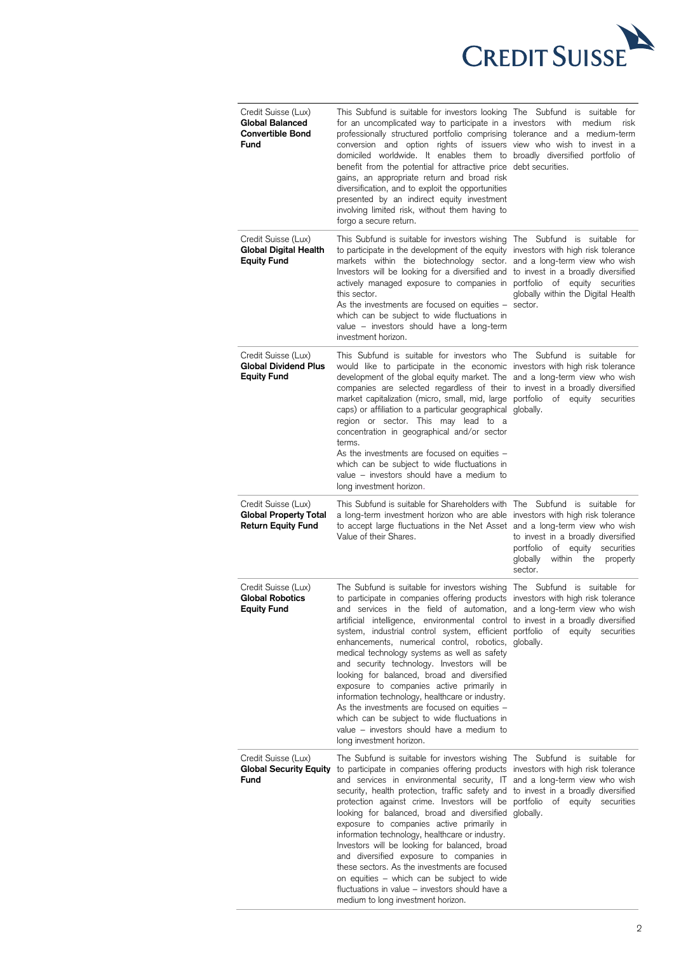

| Credit Suisse (Lux)<br>Global Balanced<br><b>Convertible Bond</b><br><b>Fund</b> | This Subfund is suitable for investors looking The Subfund is suitable for<br>for an uncomplicated way to participate in a investors with medium<br>professionally structured portfolio comprising tolerance and a medium-term<br>conversion and option rights of issuers view who wish to invest in a<br>domiciled worldwide. It enables them to broadly diversified portfolio of<br>benefit from the potential for attractive price debt securities.<br>gains, an appropriate return and broad risk<br>diversification, and to exploit the opportunities<br>presented by an indirect equity investment<br>involving limited risk, without them having to<br>forgo a secure return.                                                                                                                                                                                 | risk                                                                                                                  |
|----------------------------------------------------------------------------------|----------------------------------------------------------------------------------------------------------------------------------------------------------------------------------------------------------------------------------------------------------------------------------------------------------------------------------------------------------------------------------------------------------------------------------------------------------------------------------------------------------------------------------------------------------------------------------------------------------------------------------------------------------------------------------------------------------------------------------------------------------------------------------------------------------------------------------------------------------------------|-----------------------------------------------------------------------------------------------------------------------|
| Credit Suisse (Lux)<br>Global Digital Health<br><b>Equity Fund</b>               | This Subfund is suitable for investors wishing The Subfund is suitable for<br>to participate in the development of the equity investors with high risk tolerance<br>markets within the biotechnology sector. and a long-term view who wish<br>Investors will be looking for a diversified and to invest in a broadly diversified<br>actively managed exposure to companies in portfolio of equity securities<br>this sector.<br>As the investments are focused on equities $-$ sector.<br>which can be subject to wide fluctuations in<br>value - investors should have a long-term<br>investment horizon.                                                                                                                                                                                                                                                           | globally within the Digital Health                                                                                    |
| Credit Suisse (Lux)<br><b>Global Dividend Plus</b><br><b>Equity Fund</b>         | This Subfund is suitable for investors who The Subfund is suitable for<br>would like to participate in the economic investors with high risk tolerance<br>development of the global equity market. The and a long-term view who wish<br>companies are selected regardless of their to invest in a broadly diversified<br>market capitalization (micro, small, mid, large portfolio of equity securities<br>caps) or affiliation to a particular geographical globally.<br>region or sector. This may lead to a<br>concentration in geographical and/or sector<br>terms.<br>As the investments are focused on equities -<br>which can be subject to wide fluctuations in<br>value - investors should have a medium to<br>long investment horizon.                                                                                                                     |                                                                                                                       |
| Credit Suisse (Lux)<br><b>Global Property Total</b><br><b>Return Equity Fund</b> | This Subfund is suitable for Shareholders with The Subfund is suitable for<br>a long-term investment horizon who are able investors with high risk tolerance<br>to accept large fluctuations in the Net Asset and a long-term view who wish<br>Value of their Shares.                                                                                                                                                                                                                                                                                                                                                                                                                                                                                                                                                                                                | to invest in a broadly diversified<br>portfolio of equity securities<br>globally<br>within the<br>property<br>sector. |
| Credit Suisse (Lux)<br><b>Global Robotics</b><br><b>Equity Fund</b>              | The Subfund is suitable for investors wishing The Subfund is suitable for<br>to participate in companies offering products investors with high risk tolerance<br>and services in the field of automation, and a long-term view who wish<br>artificial intelligence, environmental control to invest in a broadly diversified<br>system, industrial control system, efficient portfolio<br>enhancements, numerical control, robotics, globally.<br>medical technology systems as well as safety<br>and security technology. Investors will be<br>looking for balanced, broad and diversified<br>exposure to companies active primarily in<br>information technology, healthcare or industry.<br>As the investments are focused on equities -<br>which can be subject to wide fluctuations in<br>value – investors should have a medium to<br>long investment horizon. | of equity securities                                                                                                  |
| Credit Suisse (Lux)<br><b>Global Security Equity</b><br>Fund                     | The Subfund is suitable for investors wishing The Subfund is suitable for<br>to participate in companies offering products investors with high risk tolerance<br>and services in environmental security, IT and a long-term view who wish<br>security, health protection, traffic safety and to invest in a broadly diversified<br>protection against crime. Investors will be portfolio of equity securities<br>looking for balanced, broad and diversified globally.<br>exposure to companies active primarily in<br>information technology, healthcare or industry.<br>Investors will be looking for balanced, broad<br>and diversified exposure to companies in<br>these sectors. As the investments are focused<br>on equities - which can be subject to wide<br>fluctuations in value - investors should have a<br>medium to long investment horizon.          |                                                                                                                       |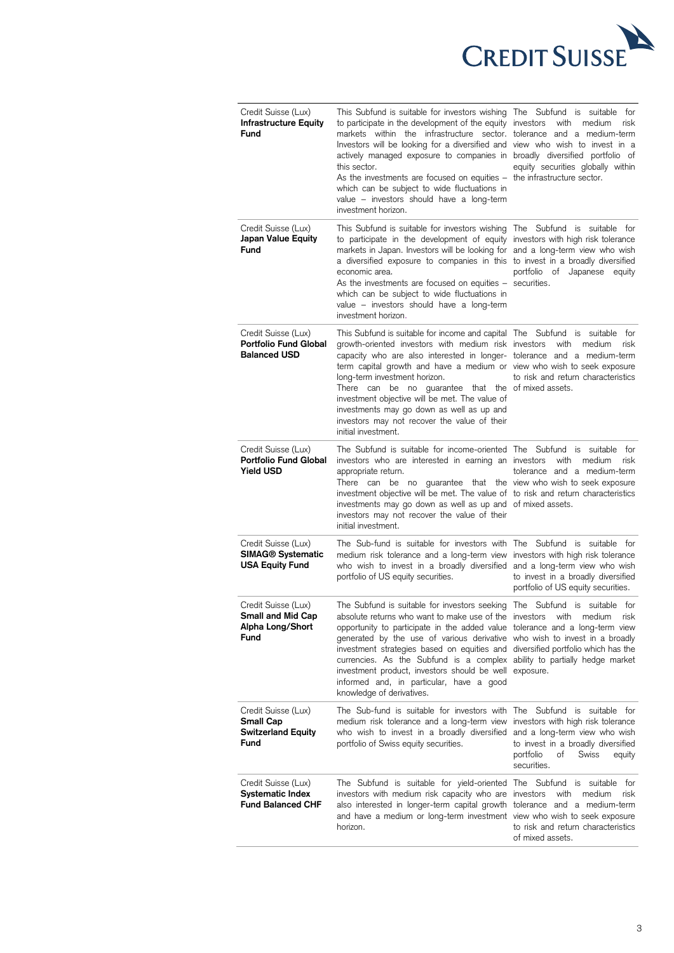

| Credit Suisse (Lux)<br><b>Infrastructure Equity</b><br>Fund                    | This Subfund is suitable for investors wishing The Subfund is suitable for<br>to participate in the development of the equity investors<br>markets within the infrastructure sector, tolerance and a medium-term<br>Investors will be looking for a diversified and view who wish to invest in a<br>actively managed exposure to companies in broadly diversified portfolio of<br>this sector.<br>As the investments are focused on equities -<br>which can be subject to wide fluctuations in<br>value - investors should have a long-term<br>investment horizon.                   | with medium<br>risk<br>equity securities globally within<br>the infrastructure sector.                                                                         |
|--------------------------------------------------------------------------------|--------------------------------------------------------------------------------------------------------------------------------------------------------------------------------------------------------------------------------------------------------------------------------------------------------------------------------------------------------------------------------------------------------------------------------------------------------------------------------------------------------------------------------------------------------------------------------------|----------------------------------------------------------------------------------------------------------------------------------------------------------------|
| Credit Suisse (Lux)<br>Japan Value Equity<br><b>Fund</b>                       | This Subfund is suitable for investors wishing The Subfund is suitable for<br>to participate in the development of equity investors with high risk tolerance<br>markets in Japan. Investors will be looking for and a long-term view who wish<br>a diversified exposure to companies in this to invest in a broadly diversified<br>economic area.<br>As the investments are focused on equities $-$ securities.<br>which can be subject to wide fluctuations in<br>value - investors should have a long-term<br>investment horizon.                                                  | portfolio of Japanese<br>equity                                                                                                                                |
| Credit Suisse (Lux)<br><b>Portfolio Fund Global</b><br><b>Balanced USD</b>     | This Subfund is suitable for income and capital The Subfund is suitable for<br>growth-oriented investors with medium risk investors with medium<br>capacity who are also interested in longer- tolerance and a medium-term<br>term capital growth and have a medium or view who wish to seek exposure<br>long-term investment horizon.<br>There can be no guarantee that the of mixed assets.<br>investment objective will be met. The value of<br>investments may go down as well as up and<br>investors may not recover the value of their<br>initial investment.                  | risk<br>to risk and return characteristics                                                                                                                     |
| Credit Suisse (Lux)<br><b>Portfolio Fund Global</b><br><b>Yield USD</b>        | The Subfund is suitable for income-oriented The Subfund is suitable for<br>investors who are interested in earning an investors<br>appropriate return.<br>There can be no guarantee that the view who wish to seek exposure<br>investment objective will be met. The value of to risk and return characteristics<br>investments may go down as well as up and of mixed assets.<br>investors may not recover the value of their<br>initial investment.                                                                                                                                | with<br>medium<br>risk<br>tolerance and a medium-term                                                                                                          |
| Credit Suisse (Lux)<br>SIMAG <sup>®</sup> Systematic<br><b>USA Equity Fund</b> | The Sub-fund is suitable for investors with The Subfund is suitable for<br>medium risk tolerance and a long-term view investors with high risk tolerance<br>who wish to invest in a broadly diversified<br>portfolio of US equity securities.                                                                                                                                                                                                                                                                                                                                        | and a long-term view who wish<br>to invest in a broadly diversified<br>portfolio of US equity securities.                                                      |
| Credit Suisse (Lux)<br><b>Small and Mid Cap</b><br>Alpha Long/Short<br>Fund    | The Subfund is suitable for investors seeking<br>absolute returns who want to make use of the investors with medium<br>opportunity to participate in the added value tolerance and a long-term view<br>generated by the use of various derivative who wish to invest in a broadly<br>investment strategies based on equities and diversified portfolio which has the<br>currencies. As the Subfund is a complex ability to partially hedge market<br>investment product, investors should be well exposure.<br>informed and, in particular, have a good<br>knowledge of derivatives. | The Subfund is suitable for<br>risk                                                                                                                            |
| Credit Suisse (Lux)<br><b>Small Cap</b><br><b>Switzerland Equity</b><br>Fund   | The Sub-fund is suitable for investors with The Subfund is suitable for<br>medium risk tolerance and a long-term view<br>who wish to invest in a broadly diversified<br>portfolio of Swiss equity securities.                                                                                                                                                                                                                                                                                                                                                                        | investors with high risk tolerance<br>and a long-term view who wish<br>to invest in a broadly diversified<br>portfolio<br>оf<br>Swiss<br>equity<br>securities. |
| Credit Suisse (Lux)<br><b>Systematic Index</b><br><b>Fund Balanced CHF</b>     | The Subfund is suitable for yield-oriented The Subfund<br>investors with medium risk capacity who are investors<br>also interested in longer-term capital growth tolerance and a medium-term<br>and have a medium or long-term investment view who wish to seek exposure<br>horizon.                                                                                                                                                                                                                                                                                                 | is suitable for<br>with<br>medium<br>risk<br>to risk and return characteristics<br>of mixed assets.                                                            |